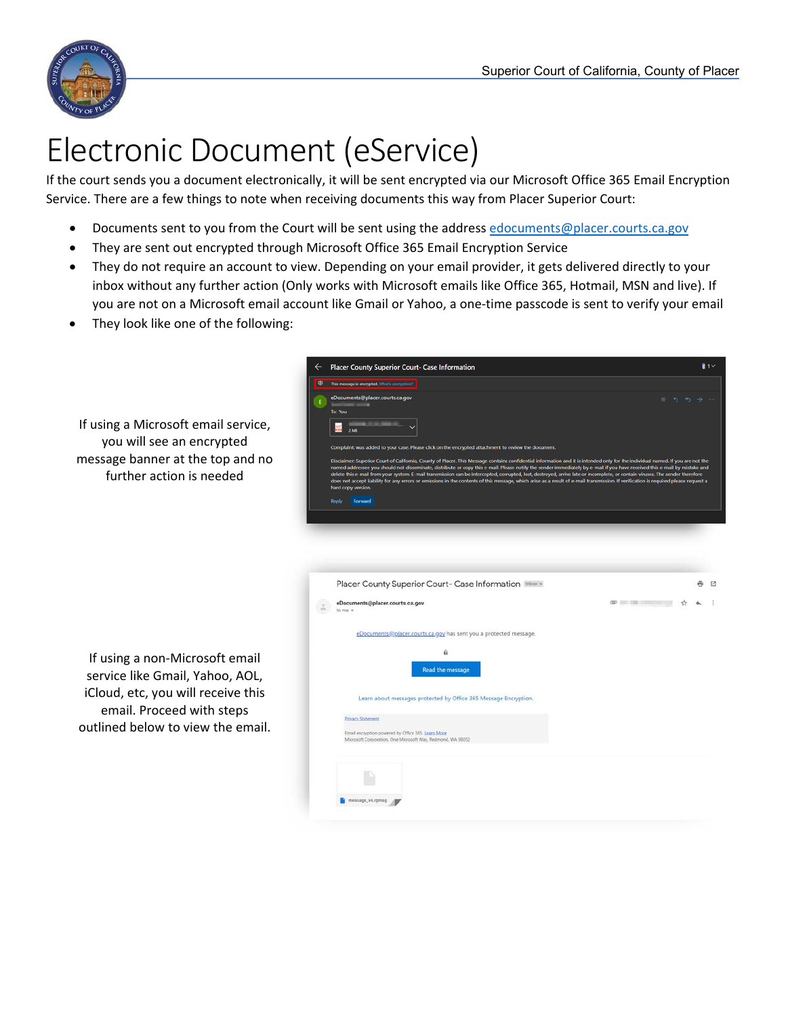

Ϊ

## Electronic Document (eService)

If the court sends you a document electronically, it will be sent encrypted via our Microsoft Office 365 Email Encryption Service. There are a few things to note when receiving documents this way from Placer Superior Court:

- Documents sent to you from the Court will be sent using the address edocuments@placer.courts.ca.gov
- They are sent out encrypted through Microsoft Office 365 Email Encryption Service
- They do not require an account to view. Depending on your email provider, it gets delivered directly to your inbox without any further action (Only works with Microsoft emails like Office 365, Hotmail, MSN and live). If you are not on a Microsoft email account like Gmail or Yahoo, a one‐time passcode is sent to verify your email
- They look like one of the following:

|                                                                                                                                                                           | <b>Placer County Superior Court- Case Information</b>                                                                                                                                                                                                                                                                                                                                                                                                                                                                                                                                                                                                                                                                                                                                                                                                                                                                                   | $\mathbf{0}$ 1 $\times$ |
|---------------------------------------------------------------------------------------------------------------------------------------------------------------------------|-----------------------------------------------------------------------------------------------------------------------------------------------------------------------------------------------------------------------------------------------------------------------------------------------------------------------------------------------------------------------------------------------------------------------------------------------------------------------------------------------------------------------------------------------------------------------------------------------------------------------------------------------------------------------------------------------------------------------------------------------------------------------------------------------------------------------------------------------------------------------------------------------------------------------------------------|-------------------------|
|                                                                                                                                                                           | <sup>4</sup> This message is encrypted. What's encryption?                                                                                                                                                                                                                                                                                                                                                                                                                                                                                                                                                                                                                                                                                                                                                                                                                                                                              |                         |
| If using a Microsoft email service,<br>you will see an encrypted<br>message banner at the top and no<br>further action is needed                                          | eDocuments@placer.courts.ca.gov<br>To: You<br>2MB<br>Complaint: was added to your case. Please click on the encrypted attachment to review the document.<br>Disclaimer: Superior Court of California, County of Placer. This Message contains confidential information and it is intended only for the individual named. If you are not the<br>named addressee you should not disseminate, distribute or copy this e-mail. Please notify the sender immediately by e-mail if you have received this e-mail by mistake and<br>delete this e-mail from your system. E-mail transmission can be intercepted, corrupted, lost, destroyed, arrive late or incomplete, or contain viruses. The sender therefore<br>does not accept liability for any errors or omissions in the contents of this message, which arise as a result of e-mail transmission. If verification is required please request a<br>hard copy version.<br>Reply Forward | ※ ち め → …               |
|                                                                                                                                                                           | Placer County Superior Court- Case Information Inbox x<br><b>OD 200 200 200</b><br>eDocuments@placer.courts.ca.gov<br>to me +                                                                                                                                                                                                                                                                                                                                                                                                                                                                                                                                                                                                                                                                                                                                                                                                           | D.                      |
| If using a non-Microsoft email<br>service like Gmail, Yahoo, AOL,<br>iCloud, etc, you will receive this<br>email. Proceed with steps<br>outlined below to view the email. | eDocuments@placer.courts.ca.gov has sent you a protected message.<br>а<br><b>Read the message</b><br>Learn about messages protected by Office 365 Message Encryption.<br><b>Privacy Statement</b><br>Email encryption powered by Office 365. Learn More<br>Microsoft Corporation, One Microsoft Way, Redmond, WA 98052                                                                                                                                                                                                                                                                                                                                                                                                                                                                                                                                                                                                                  |                         |
|                                                                                                                                                                           | message_v4.rpmsg                                                                                                                                                                                                                                                                                                                                                                                                                                                                                                                                                                                                                                                                                                                                                                                                                                                                                                                        |                         |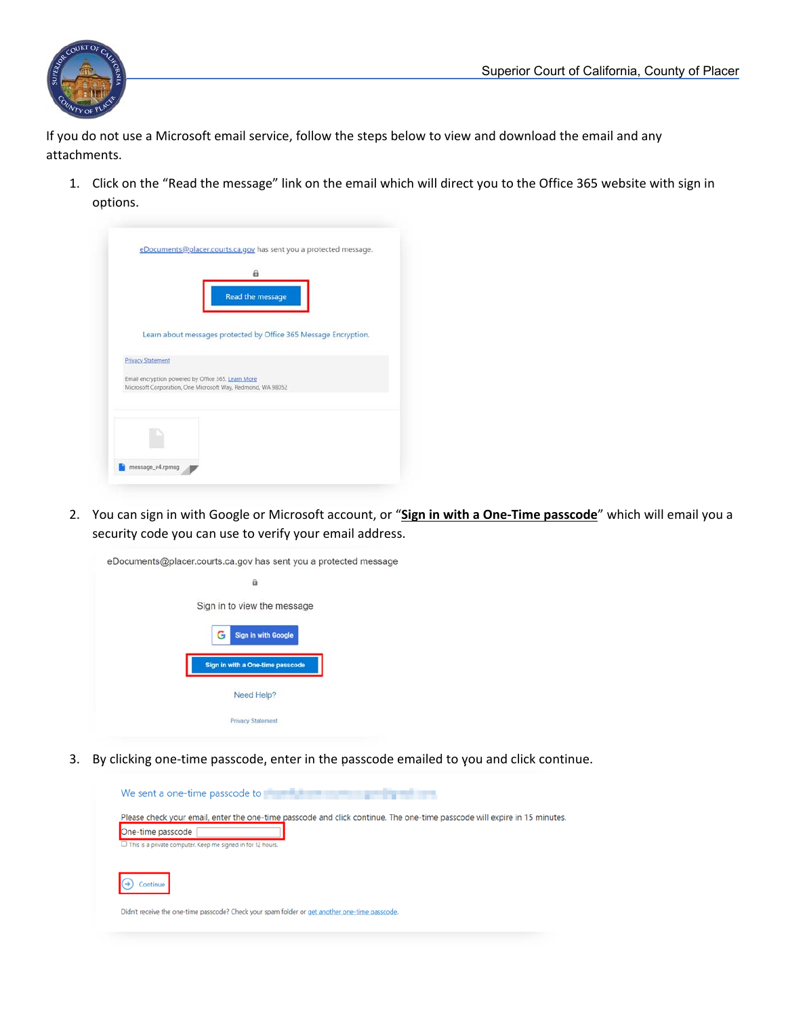

Ϊ

If you do not use a Microsoft email service, follow the steps below to view and download the email and any attachments.

1. Click on the "Read the message" link on the email which will direct you to the Office 365 website with sign in options.

|                          | a<br>Read the message                                                                                             |
|--------------------------|-------------------------------------------------------------------------------------------------------------------|
|                          |                                                                                                                   |
|                          | Learn about messages protected by Office 365 Message Encryption.                                                  |
| <b>Privacy Statement</b> |                                                                                                                   |
|                          | Email encryption powered by Office 365. Learn More<br>Microsoft Corporation, One Microsoft Way, Redmond, WA 98052 |
|                          |                                                                                                                   |
|                          |                                                                                                                   |

 security code you can use to verify your email address. 2. You can sign in with Google or Microsoft account, or "**Sign in with a One‐Time passcode**" which will email you a

| eDocuments@placer.courts.ca.gov has sent you a protected message |
|------------------------------------------------------------------|
| a                                                                |
| Sign in to view the message                                      |
| <b>Sign in with Google</b><br>G                                  |
| Sign in with a One-time passcode                                 |
| Need Help?                                                       |
| <b>Privacy Statement</b>                                         |

3. By clicking one-time passcode, enter in the passcode emailed to you and click continue.

| We sent a one-time passcode to <b>the fight that the sent of the sent of the sent of the sent of the sent of the sent of the sent of the sent of the sent of the sent of the sent of the sent of the sent of the sent of the sen</b> |
|--------------------------------------------------------------------------------------------------------------------------------------------------------------------------------------------------------------------------------------|
| Please check your email, enter the one-time passcode and click continue. The one-time passcode will expire in 15 minutes.<br>One-time passcode                                                                                       |
| $\Box$ This is a private computer. Keep me signed in for 12 hours.<br>Continue                                                                                                                                                       |
| Didn't receive the one-time passcode? Check your spam folder or get another one-time passcode.                                                                                                                                       |